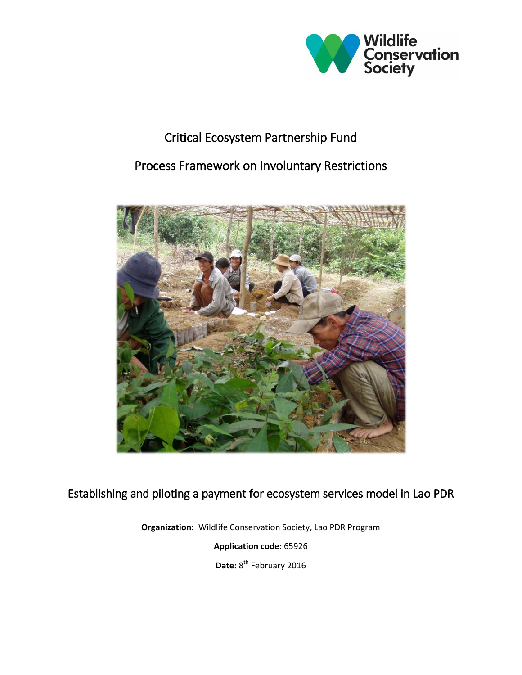

# Critical Ecosystem Partnership Fund

## Process Framework on Involuntary Restrictions



## Establishing and piloting a payment for ecosystem services model in Lao PDR

**Organization:** Wildlife Conservation Society, Lao PDR Program

**Application code**: 65926

Date: 8<sup>th</sup> February 2016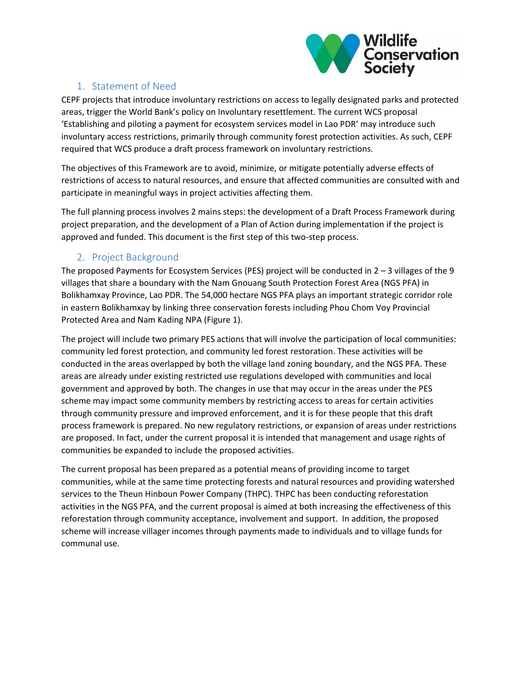

## 1. Statement of Need

CEPF projects that introduce involuntary restrictions on access to legally designated parks and protected areas, trigger the World Bank's policy on Involuntary resettlement. The current WCS proposal 'Establishing and piloting a payment for ecosystem services model in Lao PDR' may introduce such involuntary access restrictions, primarily through community forest protection activities. As such, CEPF required that WCS produce a draft process framework on involuntary restrictions.

The objectives of this Framework are to avoid, minimize, or mitigate potentially adverse effects of restrictions of access to natural resources, and ensure that affected communities are consulted with and participate in meaningful ways in project activities affecting them.

The full planning process involves 2 mains steps: the development of a Draft Process Framework during project preparation, and the development of a Plan of Action during implementation if the project is approved and funded. This document is the first step of this two-step process.

## 2. Project Background

The proposed Payments for Ecosystem Services (PES) project will be conducted in  $2 - 3$  villages of the 9 villages that share a boundary with the Nam Gnouang South Protection Forest Area (NGS PFA) in Bolikhamxay Province, Lao PDR. The 54,000 hectare NGS PFA plays an important strategic corridor role in eastern Bolikhamxay by linking three conservation forests including Phou Chom Voy Provincial Protected Area and Nam Kading NPA (Figure 1).

The project will include two primary PES actions that will involve the participation of local communities: community led forest protection, and community led forest restoration. These activities will be conducted in the areas overlapped by both the village land zoning boundary, and the NGS PFA. These areas are already under existing restricted use regulations developed with communities and local government and approved by both. The changes in use that may occur in the areas under the PES scheme may impact some community members by restricting access to areas for certain activities through community pressure and improved enforcement, and it is for these people that this draft process framework is prepared. No new regulatory restrictions, or expansion of areas under restrictions are proposed. In fact, under the current proposal it is intended that management and usage rights of communities be expanded to include the proposed activities.

The current proposal has been prepared as a potential means of providing income to target communities, while at the same time protecting forests and natural resources and providing watershed services to the Theun Hinboun Power Company (THPC). THPC has been conducting reforestation activities in the NGS PFA, and the current proposal is aimed at both increasing the effectiveness of this reforestation through community acceptance, involvement and support. In addition, the proposed scheme will increase villager incomes through payments made to individuals and to village funds for communal use.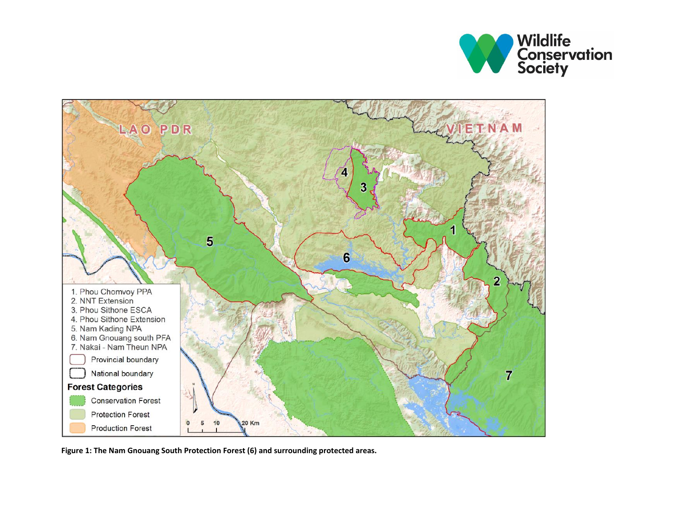



**Figure 1: The Nam Gnouang South Protection Forest (6) and surrounding protected areas.**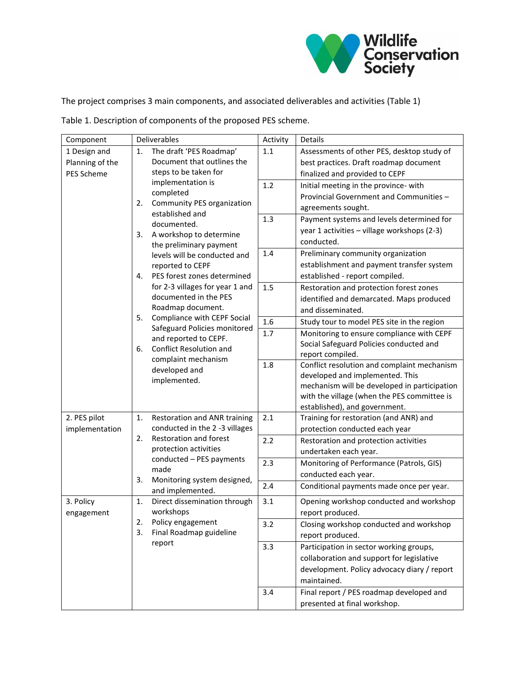

The project comprises 3 main components, and associated deliverables and activities (Table 1)

Table 1. Description of components of the proposed PES scheme.

| 1 Design and<br>The draft 'PES Roadmap'<br>1.1<br>Assessments of other PES, desktop study of<br>1.<br>Document that outlines the<br>Planning of the<br>best practices. Draft roadmap document<br>steps to be taken for<br>PES Scheme<br>finalized and provided to CEPF<br>implementation is<br>1.2<br>Initial meeting in the province- with<br>completed<br>Provincial Government and Communities -<br><b>Community PES organization</b><br>2.<br>agreements sought.<br>established and<br>1.3<br>Payment systems and levels determined for<br>documented.<br>year 1 activities - village workshops (2-3)<br>3.<br>A workshop to determine<br>conducted.<br>the preliminary payment<br>1.4<br>Preliminary community organization<br>levels will be conducted and<br>establishment and payment transfer system<br>reported to CEPF<br>PES forest zones determined<br>established - report compiled.<br>4.<br>for 2-3 villages for year 1 and<br>1.5<br>Restoration and protection forest zones<br>documented in the PES<br>identified and demarcated. Maps produced<br>Roadmap document.<br>and disseminated.<br>Compliance with CEPF Social<br>5.<br>$1.6\,$<br>Study tour to model PES site in the region<br>Safeguard Policies monitored<br>1.7<br>Monitoring to ensure compliance with CEPF<br>and reported to CEPF.<br>Social Safeguard Policies conducted and<br>Conflict Resolution and<br>6.<br>report compiled.<br>complaint mechanism<br>1.8<br>Conflict resolution and complaint mechanism<br>developed and<br>developed and implemented. This<br>implemented.<br>mechanism will be developed in participation<br>with the village (when the PES committee is<br>established), and government.<br>2. PES pilot<br>2.1<br>Training for restoration (and ANR) and<br>1.<br>Restoration and ANR training<br>conducted in the 2 -3 villages<br>implementation<br>protection conducted each year<br>Restoration and forest<br>2.<br>2.2<br>Restoration and protection activities<br>protection activities<br>undertaken each year.<br>conducted - PES payments<br>2.3<br>Monitoring of Performance (Patrols, GIS)<br>made<br>conducted each year.<br>3.<br>Monitoring system designed,<br>2.4<br>Conditional payments made once per year.<br>and implemented.<br>3.1<br>Direct dissemination through<br>Opening workshop conducted and workshop<br>3. Policy<br>1.<br>workshops<br>report produced.<br>engagement | Component | Deliverables                                             | Activity | Details |
|------------------------------------------------------------------------------------------------------------------------------------------------------------------------------------------------------------------------------------------------------------------------------------------------------------------------------------------------------------------------------------------------------------------------------------------------------------------------------------------------------------------------------------------------------------------------------------------------------------------------------------------------------------------------------------------------------------------------------------------------------------------------------------------------------------------------------------------------------------------------------------------------------------------------------------------------------------------------------------------------------------------------------------------------------------------------------------------------------------------------------------------------------------------------------------------------------------------------------------------------------------------------------------------------------------------------------------------------------------------------------------------------------------------------------------------------------------------------------------------------------------------------------------------------------------------------------------------------------------------------------------------------------------------------------------------------------------------------------------------------------------------------------------------------------------------------------------------------------------------------------------------------------------------------------------------------------------------------------------------------------------------------------------------------------------------------------------------------------------------------------------------------------------------------------------------------------------------------------------------------------------------------------------------------------------------------------------------------------------------------------------------------------------------------|-----------|----------------------------------------------------------|----------|---------|
|                                                                                                                                                                                                                                                                                                                                                                                                                                                                                                                                                                                                                                                                                                                                                                                                                                                                                                                                                                                                                                                                                                                                                                                                                                                                                                                                                                                                                                                                                                                                                                                                                                                                                                                                                                                                                                                                                                                                                                                                                                                                                                                                                                                                                                                                                                                                                                                                                        |           |                                                          |          |         |
|                                                                                                                                                                                                                                                                                                                                                                                                                                                                                                                                                                                                                                                                                                                                                                                                                                                                                                                                                                                                                                                                                                                                                                                                                                                                                                                                                                                                                                                                                                                                                                                                                                                                                                                                                                                                                                                                                                                                                                                                                                                                                                                                                                                                                                                                                                                                                                                                                        |           |                                                          |          |         |
|                                                                                                                                                                                                                                                                                                                                                                                                                                                                                                                                                                                                                                                                                                                                                                                                                                                                                                                                                                                                                                                                                                                                                                                                                                                                                                                                                                                                                                                                                                                                                                                                                                                                                                                                                                                                                                                                                                                                                                                                                                                                                                                                                                                                                                                                                                                                                                                                                        |           |                                                          |          |         |
|                                                                                                                                                                                                                                                                                                                                                                                                                                                                                                                                                                                                                                                                                                                                                                                                                                                                                                                                                                                                                                                                                                                                                                                                                                                                                                                                                                                                                                                                                                                                                                                                                                                                                                                                                                                                                                                                                                                                                                                                                                                                                                                                                                                                                                                                                                                                                                                                                        |           |                                                          |          |         |
|                                                                                                                                                                                                                                                                                                                                                                                                                                                                                                                                                                                                                                                                                                                                                                                                                                                                                                                                                                                                                                                                                                                                                                                                                                                                                                                                                                                                                                                                                                                                                                                                                                                                                                                                                                                                                                                                                                                                                                                                                                                                                                                                                                                                                                                                                                                                                                                                                        |           |                                                          |          |         |
|                                                                                                                                                                                                                                                                                                                                                                                                                                                                                                                                                                                                                                                                                                                                                                                                                                                                                                                                                                                                                                                                                                                                                                                                                                                                                                                                                                                                                                                                                                                                                                                                                                                                                                                                                                                                                                                                                                                                                                                                                                                                                                                                                                                                                                                                                                                                                                                                                        |           |                                                          |          |         |
|                                                                                                                                                                                                                                                                                                                                                                                                                                                                                                                                                                                                                                                                                                                                                                                                                                                                                                                                                                                                                                                                                                                                                                                                                                                                                                                                                                                                                                                                                                                                                                                                                                                                                                                                                                                                                                                                                                                                                                                                                                                                                                                                                                                                                                                                                                                                                                                                                        |           |                                                          |          |         |
|                                                                                                                                                                                                                                                                                                                                                                                                                                                                                                                                                                                                                                                                                                                                                                                                                                                                                                                                                                                                                                                                                                                                                                                                                                                                                                                                                                                                                                                                                                                                                                                                                                                                                                                                                                                                                                                                                                                                                                                                                                                                                                                                                                                                                                                                                                                                                                                                                        |           |                                                          |          |         |
|                                                                                                                                                                                                                                                                                                                                                                                                                                                                                                                                                                                                                                                                                                                                                                                                                                                                                                                                                                                                                                                                                                                                                                                                                                                                                                                                                                                                                                                                                                                                                                                                                                                                                                                                                                                                                                                                                                                                                                                                                                                                                                                                                                                                                                                                                                                                                                                                                        |           |                                                          |          |         |
|                                                                                                                                                                                                                                                                                                                                                                                                                                                                                                                                                                                                                                                                                                                                                                                                                                                                                                                                                                                                                                                                                                                                                                                                                                                                                                                                                                                                                                                                                                                                                                                                                                                                                                                                                                                                                                                                                                                                                                                                                                                                                                                                                                                                                                                                                                                                                                                                                        |           |                                                          |          |         |
|                                                                                                                                                                                                                                                                                                                                                                                                                                                                                                                                                                                                                                                                                                                                                                                                                                                                                                                                                                                                                                                                                                                                                                                                                                                                                                                                                                                                                                                                                                                                                                                                                                                                                                                                                                                                                                                                                                                                                                                                                                                                                                                                                                                                                                                                                                                                                                                                                        |           |                                                          |          |         |
|                                                                                                                                                                                                                                                                                                                                                                                                                                                                                                                                                                                                                                                                                                                                                                                                                                                                                                                                                                                                                                                                                                                                                                                                                                                                                                                                                                                                                                                                                                                                                                                                                                                                                                                                                                                                                                                                                                                                                                                                                                                                                                                                                                                                                                                                                                                                                                                                                        |           |                                                          |          |         |
|                                                                                                                                                                                                                                                                                                                                                                                                                                                                                                                                                                                                                                                                                                                                                                                                                                                                                                                                                                                                                                                                                                                                                                                                                                                                                                                                                                                                                                                                                                                                                                                                                                                                                                                                                                                                                                                                                                                                                                                                                                                                                                                                                                                                                                                                                                                                                                                                                        |           |                                                          |          |         |
|                                                                                                                                                                                                                                                                                                                                                                                                                                                                                                                                                                                                                                                                                                                                                                                                                                                                                                                                                                                                                                                                                                                                                                                                                                                                                                                                                                                                                                                                                                                                                                                                                                                                                                                                                                                                                                                                                                                                                                                                                                                                                                                                                                                                                                                                                                                                                                                                                        |           |                                                          |          |         |
|                                                                                                                                                                                                                                                                                                                                                                                                                                                                                                                                                                                                                                                                                                                                                                                                                                                                                                                                                                                                                                                                                                                                                                                                                                                                                                                                                                                                                                                                                                                                                                                                                                                                                                                                                                                                                                                                                                                                                                                                                                                                                                                                                                                                                                                                                                                                                                                                                        |           |                                                          |          |         |
|                                                                                                                                                                                                                                                                                                                                                                                                                                                                                                                                                                                                                                                                                                                                                                                                                                                                                                                                                                                                                                                                                                                                                                                                                                                                                                                                                                                                                                                                                                                                                                                                                                                                                                                                                                                                                                                                                                                                                                                                                                                                                                                                                                                                                                                                                                                                                                                                                        |           |                                                          |          |         |
|                                                                                                                                                                                                                                                                                                                                                                                                                                                                                                                                                                                                                                                                                                                                                                                                                                                                                                                                                                                                                                                                                                                                                                                                                                                                                                                                                                                                                                                                                                                                                                                                                                                                                                                                                                                                                                                                                                                                                                                                                                                                                                                                                                                                                                                                                                                                                                                                                        |           |                                                          |          |         |
|                                                                                                                                                                                                                                                                                                                                                                                                                                                                                                                                                                                                                                                                                                                                                                                                                                                                                                                                                                                                                                                                                                                                                                                                                                                                                                                                                                                                                                                                                                                                                                                                                                                                                                                                                                                                                                                                                                                                                                                                                                                                                                                                                                                                                                                                                                                                                                                                                        |           |                                                          |          |         |
|                                                                                                                                                                                                                                                                                                                                                                                                                                                                                                                                                                                                                                                                                                                                                                                                                                                                                                                                                                                                                                                                                                                                                                                                                                                                                                                                                                                                                                                                                                                                                                                                                                                                                                                                                                                                                                                                                                                                                                                                                                                                                                                                                                                                                                                                                                                                                                                                                        |           |                                                          |          |         |
|                                                                                                                                                                                                                                                                                                                                                                                                                                                                                                                                                                                                                                                                                                                                                                                                                                                                                                                                                                                                                                                                                                                                                                                                                                                                                                                                                                                                                                                                                                                                                                                                                                                                                                                                                                                                                                                                                                                                                                                                                                                                                                                                                                                                                                                                                                                                                                                                                        |           |                                                          |          |         |
|                                                                                                                                                                                                                                                                                                                                                                                                                                                                                                                                                                                                                                                                                                                                                                                                                                                                                                                                                                                                                                                                                                                                                                                                                                                                                                                                                                                                                                                                                                                                                                                                                                                                                                                                                                                                                                                                                                                                                                                                                                                                                                                                                                                                                                                                                                                                                                                                                        |           |                                                          |          |         |
|                                                                                                                                                                                                                                                                                                                                                                                                                                                                                                                                                                                                                                                                                                                                                                                                                                                                                                                                                                                                                                                                                                                                                                                                                                                                                                                                                                                                                                                                                                                                                                                                                                                                                                                                                                                                                                                                                                                                                                                                                                                                                                                                                                                                                                                                                                                                                                                                                        |           |                                                          |          |         |
|                                                                                                                                                                                                                                                                                                                                                                                                                                                                                                                                                                                                                                                                                                                                                                                                                                                                                                                                                                                                                                                                                                                                                                                                                                                                                                                                                                                                                                                                                                                                                                                                                                                                                                                                                                                                                                                                                                                                                                                                                                                                                                                                                                                                                                                                                                                                                                                                                        |           |                                                          |          |         |
|                                                                                                                                                                                                                                                                                                                                                                                                                                                                                                                                                                                                                                                                                                                                                                                                                                                                                                                                                                                                                                                                                                                                                                                                                                                                                                                                                                                                                                                                                                                                                                                                                                                                                                                                                                                                                                                                                                                                                                                                                                                                                                                                                                                                                                                                                                                                                                                                                        |           |                                                          |          |         |
|                                                                                                                                                                                                                                                                                                                                                                                                                                                                                                                                                                                                                                                                                                                                                                                                                                                                                                                                                                                                                                                                                                                                                                                                                                                                                                                                                                                                                                                                                                                                                                                                                                                                                                                                                                                                                                                                                                                                                                                                                                                                                                                                                                                                                                                                                                                                                                                                                        |           |                                                          |          |         |
|                                                                                                                                                                                                                                                                                                                                                                                                                                                                                                                                                                                                                                                                                                                                                                                                                                                                                                                                                                                                                                                                                                                                                                                                                                                                                                                                                                                                                                                                                                                                                                                                                                                                                                                                                                                                                                                                                                                                                                                                                                                                                                                                                                                                                                                                                                                                                                                                                        |           |                                                          |          |         |
|                                                                                                                                                                                                                                                                                                                                                                                                                                                                                                                                                                                                                                                                                                                                                                                                                                                                                                                                                                                                                                                                                                                                                                                                                                                                                                                                                                                                                                                                                                                                                                                                                                                                                                                                                                                                                                                                                                                                                                                                                                                                                                                                                                                                                                                                                                                                                                                                                        |           |                                                          |          |         |
|                                                                                                                                                                                                                                                                                                                                                                                                                                                                                                                                                                                                                                                                                                                                                                                                                                                                                                                                                                                                                                                                                                                                                                                                                                                                                                                                                                                                                                                                                                                                                                                                                                                                                                                                                                                                                                                                                                                                                                                                                                                                                                                                                                                                                                                                                                                                                                                                                        |           |                                                          |          |         |
|                                                                                                                                                                                                                                                                                                                                                                                                                                                                                                                                                                                                                                                                                                                                                                                                                                                                                                                                                                                                                                                                                                                                                                                                                                                                                                                                                                                                                                                                                                                                                                                                                                                                                                                                                                                                                                                                                                                                                                                                                                                                                                                                                                                                                                                                                                                                                                                                                        |           |                                                          |          |         |
|                                                                                                                                                                                                                                                                                                                                                                                                                                                                                                                                                                                                                                                                                                                                                                                                                                                                                                                                                                                                                                                                                                                                                                                                                                                                                                                                                                                                                                                                                                                                                                                                                                                                                                                                                                                                                                                                                                                                                                                                                                                                                                                                                                                                                                                                                                                                                                                                                        |           |                                                          |          |         |
|                                                                                                                                                                                                                                                                                                                                                                                                                                                                                                                                                                                                                                                                                                                                                                                                                                                                                                                                                                                                                                                                                                                                                                                                                                                                                                                                                                                                                                                                                                                                                                                                                                                                                                                                                                                                                                                                                                                                                                                                                                                                                                                                                                                                                                                                                                                                                                                                                        |           |                                                          |          |         |
|                                                                                                                                                                                                                                                                                                                                                                                                                                                                                                                                                                                                                                                                                                                                                                                                                                                                                                                                                                                                                                                                                                                                                                                                                                                                                                                                                                                                                                                                                                                                                                                                                                                                                                                                                                                                                                                                                                                                                                                                                                                                                                                                                                                                                                                                                                                                                                                                                        |           |                                                          |          |         |
| 3.2<br>Closing workshop conducted and workshop                                                                                                                                                                                                                                                                                                                                                                                                                                                                                                                                                                                                                                                                                                                                                                                                                                                                                                                                                                                                                                                                                                                                                                                                                                                                                                                                                                                                                                                                                                                                                                                                                                                                                                                                                                                                                                                                                                                                                                                                                                                                                                                                                                                                                                                                                                                                                                         |           | 2.<br>Policy engagement<br>Final Roadmap guideline<br>3. |          |         |
| report produced.                                                                                                                                                                                                                                                                                                                                                                                                                                                                                                                                                                                                                                                                                                                                                                                                                                                                                                                                                                                                                                                                                                                                                                                                                                                                                                                                                                                                                                                                                                                                                                                                                                                                                                                                                                                                                                                                                                                                                                                                                                                                                                                                                                                                                                                                                                                                                                                                       |           |                                                          |          |         |
| report<br>Participation in sector working groups,<br>3.3                                                                                                                                                                                                                                                                                                                                                                                                                                                                                                                                                                                                                                                                                                                                                                                                                                                                                                                                                                                                                                                                                                                                                                                                                                                                                                                                                                                                                                                                                                                                                                                                                                                                                                                                                                                                                                                                                                                                                                                                                                                                                                                                                                                                                                                                                                                                                               |           |                                                          |          |         |
| collaboration and support for legislative                                                                                                                                                                                                                                                                                                                                                                                                                                                                                                                                                                                                                                                                                                                                                                                                                                                                                                                                                                                                                                                                                                                                                                                                                                                                                                                                                                                                                                                                                                                                                                                                                                                                                                                                                                                                                                                                                                                                                                                                                                                                                                                                                                                                                                                                                                                                                                              |           |                                                          |          |         |
| development. Policy advocacy diary / report                                                                                                                                                                                                                                                                                                                                                                                                                                                                                                                                                                                                                                                                                                                                                                                                                                                                                                                                                                                                                                                                                                                                                                                                                                                                                                                                                                                                                                                                                                                                                                                                                                                                                                                                                                                                                                                                                                                                                                                                                                                                                                                                                                                                                                                                                                                                                                            |           |                                                          |          |         |
| maintained.                                                                                                                                                                                                                                                                                                                                                                                                                                                                                                                                                                                                                                                                                                                                                                                                                                                                                                                                                                                                                                                                                                                                                                                                                                                                                                                                                                                                                                                                                                                                                                                                                                                                                                                                                                                                                                                                                                                                                                                                                                                                                                                                                                                                                                                                                                                                                                                                            |           |                                                          |          |         |
| 3.4<br>Final report / PES roadmap developed and                                                                                                                                                                                                                                                                                                                                                                                                                                                                                                                                                                                                                                                                                                                                                                                                                                                                                                                                                                                                                                                                                                                                                                                                                                                                                                                                                                                                                                                                                                                                                                                                                                                                                                                                                                                                                                                                                                                                                                                                                                                                                                                                                                                                                                                                                                                                                                        |           |                                                          |          |         |
| presented at final workshop.                                                                                                                                                                                                                                                                                                                                                                                                                                                                                                                                                                                                                                                                                                                                                                                                                                                                                                                                                                                                                                                                                                                                                                                                                                                                                                                                                                                                                                                                                                                                                                                                                                                                                                                                                                                                                                                                                                                                                                                                                                                                                                                                                                                                                                                                                                                                                                                           |           |                                                          |          |         |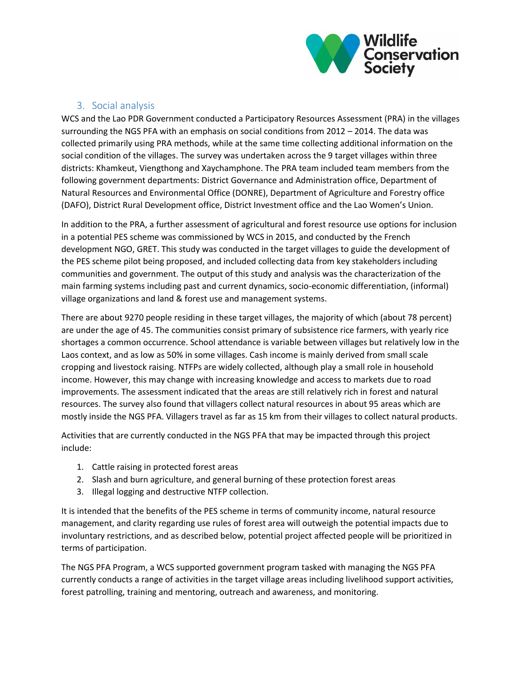

#### 3. Social analysis

WCS and the Lao PDR Government conducted a Participatory Resources Assessment (PRA) in the villages surrounding the NGS PFA with an emphasis on social conditions from 2012 – 2014. The data was collected primarily using PRA methods, while at the same time collecting additional information on the social condition of the villages. The survey was undertaken across the 9 target villages within three districts: Khamkeut, Viengthong and Xaychamphone. The PRA team included team members from the following government departments: District Governance and Administration office, Department of Natural Resources and Environmental Office (DONRE), Department of Agriculture and Forestry office (DAFO), District Rural Development office, District Investment office and the Lao Women's Union.

In addition to the PRA, a further assessment of agricultural and forest resource use options for inclusion in a potential PES scheme was commissioned by WCS in 2015, and conducted by the French development NGO, GRET. This study was conducted in the target villages to guide the development of the PES scheme pilot being proposed, and included collecting data from key stakeholders including communities and government. The output of this study and analysis was the characterization of the main farming systems including past and current dynamics, socio-economic differentiation, (informal) village organizations and land & forest use and management systems.

There are about 9270 people residing in these target villages, the majority of which (about 78 percent) are under the age of 45. The communities consist primary of subsistence rice farmers, with yearly rice shortages a common occurrence. School attendance is variable between villages but relatively low in the Laos context, and as low as 50% in some villages. Cash income is mainly derived from small scale cropping and livestock raising. NTFPs are widely collected, although play a small role in household income. However, this may change with increasing knowledge and access to markets due to road improvements. The assessment indicated that the areas are still relatively rich in forest and natural resources. The survey also found that villagers collect natural resources in about 95 areas which are mostly inside the NGS PFA. Villagers travel as far as 15 km from their villages to collect natural products.

Activities that are currently conducted in the NGS PFA that may be impacted through this project include:

- 1. Cattle raising in protected forest areas
- 2. Slash and burn agriculture, and general burning of these protection forest areas
- 3. Illegal logging and destructive NTFP collection.

It is intended that the benefits of the PES scheme in terms of community income, natural resource management, and clarity regarding use rules of forest area will outweigh the potential impacts due to involuntary restrictions, and as described below, potential project affected people will be prioritized in terms of participation.

The NGS PFA Program, a WCS supported government program tasked with managing the NGS PFA currently conducts a range of activities in the target village areas including livelihood support activities, forest patrolling, training and mentoring, outreach and awareness, and monitoring.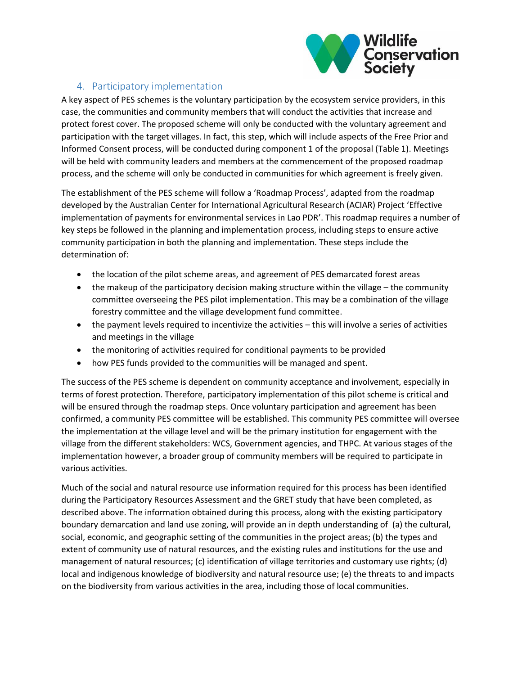

## 4. Participatory implementation

A key aspect of PES schemes is the voluntary participation by the ecosystem service providers, in this case, the communities and community members that will conduct the activities that increase and protect forest cover. The proposed scheme will only be conducted with the voluntary agreement and participation with the target villages. In fact, this step, which will include aspects of the Free Prior and Informed Consent process, will be conducted during component 1 of the proposal (Table 1). Meetings will be held with community leaders and members at the commencement of the proposed roadmap process, and the scheme will only be conducted in communities for which agreement is freely given.

The establishment of the PES scheme will follow a 'Roadmap Process', adapted from the roadmap developed by the Australian Center for International Agricultural Research (ACIAR) Project 'Effective implementation of payments for environmental services in Lao PDR'. This roadmap requires a number of key steps be followed in the planning and implementation process, including steps to ensure active community participation in both the planning and implementation. These steps include the determination of:

- the location of the pilot scheme areas, and agreement of PES demarcated forest areas
- $\bullet$  the makeup of the participatory decision making structure within the village the community committee overseeing the PES pilot implementation. This may be a combination of the village forestry committee and the village development fund committee.
- the payment levels required to incentivize the activities this will involve a series of activities and meetings in the village
- the monitoring of activities required for conditional payments to be provided
- how PES funds provided to the communities will be managed and spent.

The success of the PES scheme is dependent on community acceptance and involvement, especially in terms of forest protection. Therefore, participatory implementation of this pilot scheme is critical and will be ensured through the roadmap steps. Once voluntary participation and agreement has been confirmed, a community PES committee will be established. This community PES committee will oversee the implementation at the village level and will be the primary institution for engagement with the village from the different stakeholders: WCS, Government agencies, and THPC. At various stages of the implementation however, a broader group of community members will be required to participate in various activities.

Much of the social and natural resource use information required for this process has been identified during the Participatory Resources Assessment and the GRET study that have been completed, as described above. The information obtained during this process, along with the existing participatory boundary demarcation and land use zoning, will provide an in depth understanding of (a) the cultural, social, economic, and geographic setting of the communities in the project areas; (b) the types and extent of community use of natural resources, and the existing rules and institutions for the use and management of natural resources; (c) identification of village territories and customary use rights; (d) local and indigenous knowledge of biodiversity and natural resource use; (e) the threats to and impacts on the biodiversity from various activities in the area, including those of local communities.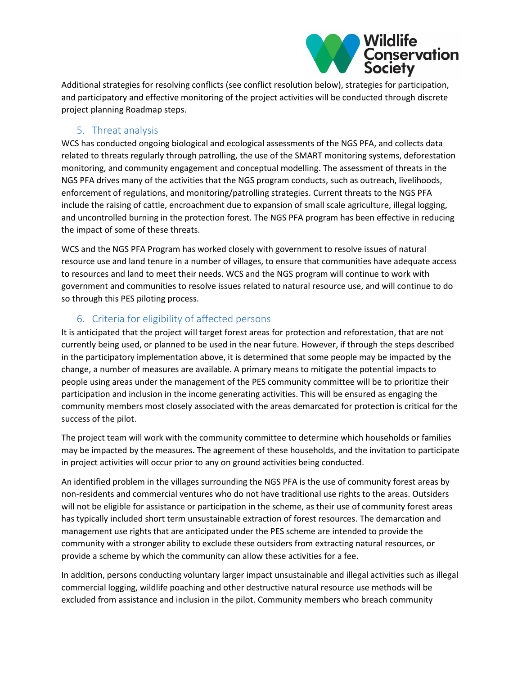

Additional strategies for resolving conflicts (see conflict resolution below), strategies for participation, and participatory and effective monitoring of the project activities will be conducted through discrete project planning Roadmap steps.

#### 5. Threat analysis

WCS has conducted ongoing biological and ecological assessments of the NGS PFA, and collects data related to threats regularly through patrolling, the use of the SMART monitoring systems, deforestation monitoring, and community engagement and conceptual modelling. The assessment of threats in the NGS PFA drives many of the activities that the NGS program conducts, such as outreach, livelihoods, enforcement of regulations, and monitoring/patrolling strategies. Current threats to the NGS PFA include the raising of cattle, encroachment due to expansion of small scale agriculture, illegal logging, and uncontrolled burning in the protection forest. The NGS PFA program has been effective in reducing the impact of some of these threats.

WCS and the NGS PFA Program has worked closely with government to resolve issues of natural resource use and land tenure in a number of villages, to ensure that communities have adequate access to resources and land to meet their needs. WCS and the NGS program will continue to work with government and communities to resolve issues related to natural resource use, and will continue to do so through this PES piloting process.

## 6. Criteria for eligibility of affected persons

It is anticipated that the project will target forest areas for protection and reforestation, that are not currently being used, or planned to be used in the near future. However, if through the steps described in the participatory implementation above, it is determined that some people may be impacted by the change, a number of measures are available. A primary means to mitigate the potential impacts to people using areas under the management of the PES community committee will be to prioritize their participation and inclusion in the income generating activities. This will be ensured as engaging the community members most closely associated with the areas demarcated for protection is critical for the success of the pilot.

The project team will work with the community committee to determine which households or families may be impacted by the measures. The agreement of these households, and the invitation to participate in project activities will occur prior to any on ground activities being conducted.

An identified problem in the villages surrounding the NGS PFA is the use of community forest areas by non-residents and commercial ventures who do not have traditional use rights to the areas. Outsiders will not be eligible for assistance or participation in the scheme, as their use of community forest areas has typically included short term unsustainable extraction of forest resources. The demarcation and management use rights that are anticipated under the PES scheme are intended to provide the community with a stronger ability to exclude these outsiders from extracting natural resources, or provide a scheme by which the community can allow these activities for a fee.

In addition, persons conducting voluntary larger impact unsustainable and illegal activities such as illegal commercial logging, wildlife poaching and other destructive natural resource use methods will be excluded from assistance and inclusion in the pilot. Community members who breach community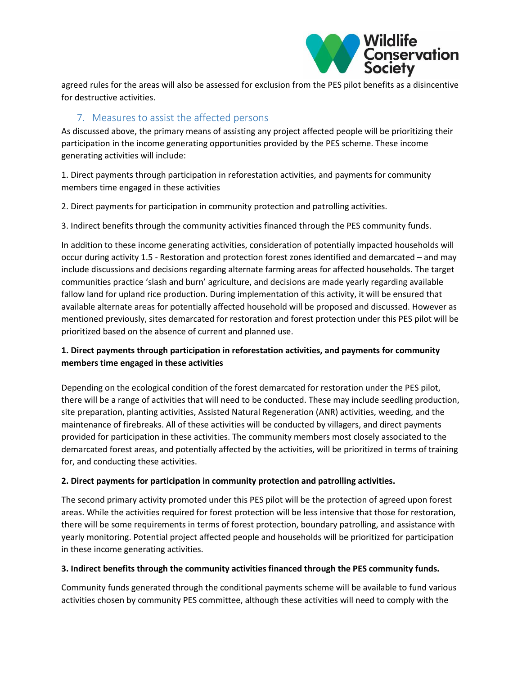

agreed rules for the areas will also be assessed for exclusion from the PES pilot benefits as a disincentive for destructive activities.

### 7. Measures to assist the affected persons

As discussed above, the primary means of assisting any project affected people will be prioritizing their participation in the income generating opportunities provided by the PES scheme. These income generating activities will include:

1. Direct payments through participation in reforestation activities, and payments for community members time engaged in these activities

2. Direct payments for participation in community protection and patrolling activities.

3. Indirect benefits through the community activities financed through the PES community funds.

In addition to these income generating activities, consideration of potentially impacted households will occur during activity 1.5 - Restoration and protection forest zones identified and demarcated – and may include discussions and decisions regarding alternate farming areas for affected households. The target communities practice 'slash and burn' agriculture, and decisions are made yearly regarding available fallow land for upland rice production. During implementation of this activity, it will be ensured that available alternate areas for potentially affected household will be proposed and discussed. However as mentioned previously, sites demarcated for restoration and forest protection under this PES pilot will be prioritized based on the absence of current and planned use.

#### **1. Direct payments through participation in reforestation activities, and payments for community members time engaged in these activities**

Depending on the ecological condition of the forest demarcated for restoration under the PES pilot, there will be a range of activities that will need to be conducted. These may include seedling production, site preparation, planting activities, Assisted Natural Regeneration (ANR) activities, weeding, and the maintenance of firebreaks. All of these activities will be conducted by villagers, and direct payments provided for participation in these activities. The community members most closely associated to the demarcated forest areas, and potentially affected by the activities, will be prioritized in terms of training for, and conducting these activities.

#### **2. Direct payments for participation in community protection and patrolling activities.**

The second primary activity promoted under this PES pilot will be the protection of agreed upon forest areas. While the activities required for forest protection will be less intensive that those for restoration, there will be some requirements in terms of forest protection, boundary patrolling, and assistance with yearly monitoring. Potential project affected people and households will be prioritized for participation in these income generating activities.

#### **3. Indirect benefits through the community activities financed through the PES community funds.**

Community funds generated through the conditional payments scheme will be available to fund various activities chosen by community PES committee, although these activities will need to comply with the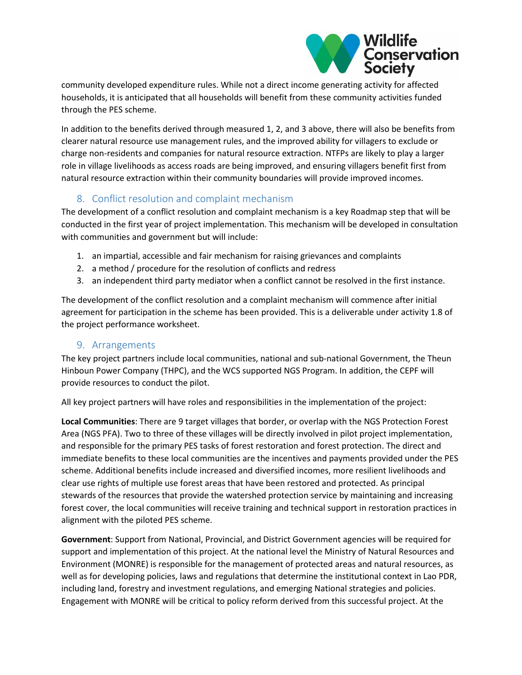

community developed expenditure rules. While not a direct income generating activity for affected households, it is anticipated that all households will benefit from these community activities funded through the PES scheme.

In addition to the benefits derived through measured 1, 2, and 3 above, there will also be benefits from clearer natural resource use management rules, and the improved ability for villagers to exclude or charge non-residents and companies for natural resource extraction. NTFPs are likely to play a larger role in village livelihoods as access roads are being improved, and ensuring villagers benefit first from natural resource extraction within their community boundaries will provide improved incomes.

## 8. Conflict resolution and complaint mechanism

The development of a conflict resolution and complaint mechanism is a key Roadmap step that will be conducted in the first year of project implementation. This mechanism will be developed in consultation with communities and government but will include:

- 1. an impartial, accessible and fair mechanism for raising grievances and complaints
- 2. a method / procedure for the resolution of conflicts and redress
- 3. an independent third party mediator when a conflict cannot be resolved in the first instance.

The development of the conflict resolution and a complaint mechanism will commence after initial agreement for participation in the scheme has been provided. This is a deliverable under activity 1.8 of the project performance worksheet.

#### 9. Arrangements

The key project partners include local communities, national and sub-national Government, the Theun Hinboun Power Company (THPC), and the WCS supported NGS Program. In addition, the CEPF will provide resources to conduct the pilot.

All key project partners will have roles and responsibilities in the implementation of the project:

**Local Communities**: There are 9 target villages that border, or overlap with the NGS Protection Forest Area (NGS PFA). Two to three of these villages will be directly involved in pilot project implementation, and responsible for the primary PES tasks of forest restoration and forest protection. The direct and immediate benefits to these local communities are the incentives and payments provided under the PES scheme. Additional benefits include increased and diversified incomes, more resilient livelihoods and clear use rights of multiple use forest areas that have been restored and protected. As principal stewards of the resources that provide the watershed protection service by maintaining and increasing forest cover, the local communities will receive training and technical support in restoration practices in alignment with the piloted PES scheme.

**Government**: Support from National, Provincial, and District Government agencies will be required for support and implementation of this project. At the national level the Ministry of Natural Resources and Environment (MONRE) is responsible for the management of protected areas and natural resources, as well as for developing policies, laws and regulations that determine the institutional context in Lao PDR, including land, forestry and investment regulations, and emerging National strategies and policies. Engagement with MONRE will be critical to policy reform derived from this successful project. At the